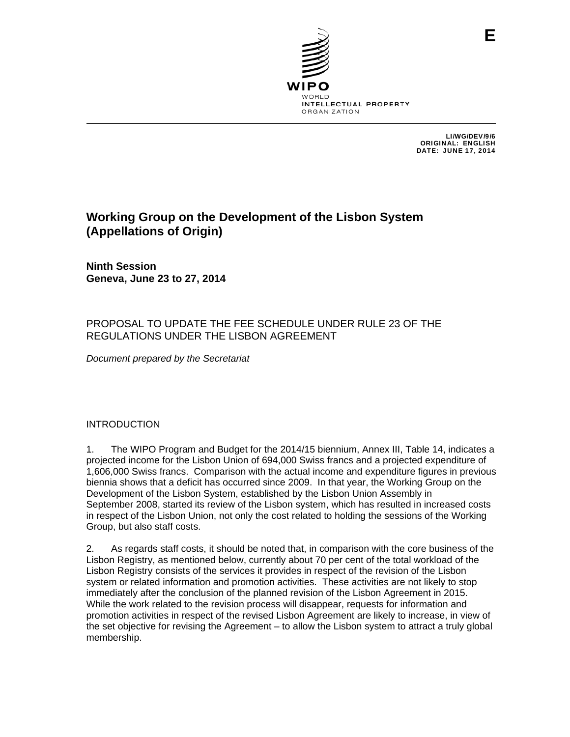

LI/WG/DEV/9/6 ORIGINAL: ENGLISH DATE: JUNE 17, 2014

# **Working Group on the Development of the Lisbon System (Appellations of Origin)**

**Ninth Session Geneva, June 23 to 27, 2014** 

## PROPOSAL TO UPDATE THE FEE SCHEDULE UNDER RULE 23 OF THE REGULATIONS UNDER THE LISBON AGREEMENT

*Document prepared by the Secretariat* 

### INTRODUCTION

1. The WIPO Program and Budget for the 2014/15 biennium, Annex III, Table 14, indicates a projected income for the Lisbon Union of 694,000 Swiss francs and a projected expenditure of 1,606,000 Swiss francs. Comparison with the actual income and expenditure figures in previous biennia shows that a deficit has occurred since 2009. In that year, the Working Group on the Development of the Lisbon System, established by the Lisbon Union Assembly in September 2008, started its review of the Lisbon system, which has resulted in increased costs in respect of the Lisbon Union, not only the cost related to holding the sessions of the Working Group, but also staff costs.

2. As regards staff costs, it should be noted that, in comparison with the core business of the Lisbon Registry, as mentioned below, currently about 70 per cent of the total workload of the Lisbon Registry consists of the services it provides in respect of the revision of the Lisbon system or related information and promotion activities. These activities are not likely to stop immediately after the conclusion of the planned revision of the Lisbon Agreement in 2015. While the work related to the revision process will disappear, requests for information and promotion activities in respect of the revised Lisbon Agreement are likely to increase, in view of the set objective for revising the Agreement – to allow the Lisbon system to attract a truly global membership.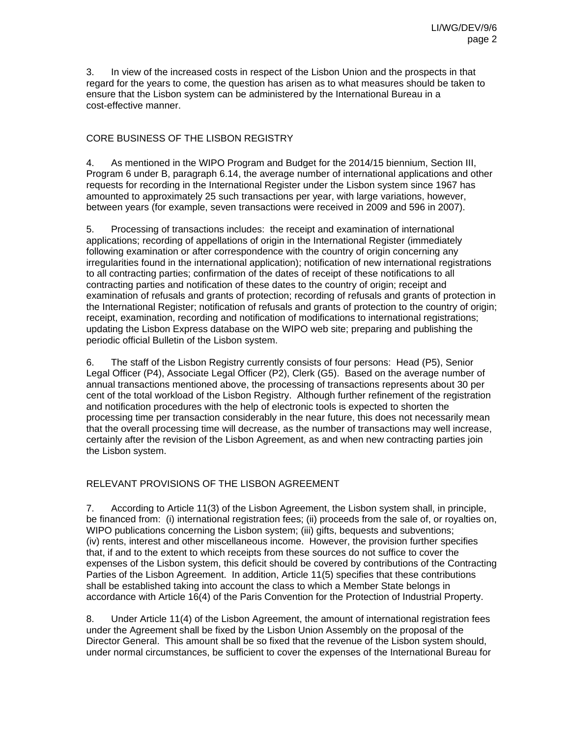3. In view of the increased costs in respect of the Lisbon Union and the prospects in that regard for the years to come, the question has arisen as to what measures should be taken to ensure that the Lisbon system can be administered by the International Bureau in a cost-effective manner.

## CORE BUSINESS OF THE LISBON REGISTRY

4. As mentioned in the WIPO Program and Budget for the 2014/15 biennium, Section III, Program 6 under B, paragraph 6.14, the average number of international applications and other requests for recording in the International Register under the Lisbon system since 1967 has amounted to approximately 25 such transactions per year, with large variations, however, between years (for example, seven transactions were received in 2009 and 596 in 2007).

5. Processing of transactions includes: the receipt and examination of international applications; recording of appellations of origin in the International Register (immediately following examination or after correspondence with the country of origin concerning any irregularities found in the international application); notification of new international registrations to all contracting parties; confirmation of the dates of receipt of these notifications to all contracting parties and notification of these dates to the country of origin; receipt and examination of refusals and grants of protection; recording of refusals and grants of protection in the International Register; notification of refusals and grants of protection to the country of origin; receipt, examination, recording and notification of modifications to international registrations; updating the Lisbon Express database on the WIPO web site; preparing and publishing the periodic official Bulletin of the Lisbon system.

6. The staff of the Lisbon Registry currently consists of four persons: Head (P5), Senior Legal Officer (P4), Associate Legal Officer (P2), Clerk (G5). Based on the average number of annual transactions mentioned above, the processing of transactions represents about 30 per cent of the total workload of the Lisbon Registry. Although further refinement of the registration and notification procedures with the help of electronic tools is expected to shorten the processing time per transaction considerably in the near future, this does not necessarily mean that the overall processing time will decrease, as the number of transactions may well increase, certainly after the revision of the Lisbon Agreement, as and when new contracting parties join the Lisbon system.

## RELEVANT PROVISIONS OF THE LISBON AGREEMENT

7. According to Article 11(3) of the Lisbon Agreement, the Lisbon system shall, in principle, be financed from: (i) international registration fees; (ii) proceeds from the sale of, or royalties on, WIPO publications concerning the Lisbon system; (iii) gifts, bequests and subventions; (iv) rents, interest and other miscellaneous income. However, the provision further specifies that, if and to the extent to which receipts from these sources do not suffice to cover the expenses of the Lisbon system, this deficit should be covered by contributions of the Contracting Parties of the Lisbon Agreement. In addition, Article 11(5) specifies that these contributions shall be established taking into account the class to which a Member State belongs in accordance with Article 16(4) of the Paris Convention for the Protection of Industrial Property.

8. Under Article 11(4) of the Lisbon Agreement, the amount of international registration fees under the Agreement shall be fixed by the Lisbon Union Assembly on the proposal of the Director General. This amount shall be so fixed that the revenue of the Lisbon system should, under normal circumstances, be sufficient to cover the expenses of the International Bureau for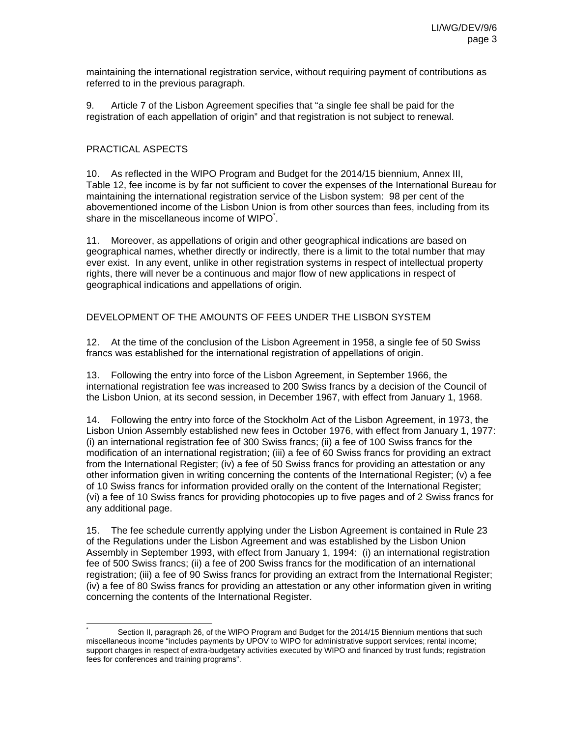maintaining the international registration service, without requiring payment of contributions as referred to in the previous paragraph.

9. Article 7 of the Lisbon Agreement specifies that "a single fee shall be paid for the registration of each appellation of origin" and that registration is not subject to renewal.

#### PRACTICAL ASPECTS

l

10. As reflected in the WIPO Program and Budget for the 2014/15 biennium, Annex III, Table 12, fee income is by far not sufficient to cover the expenses of the International Bureau for maintaining the international registration service of the Lisbon system: 98 per cent of the abovementioned income of the Lisbon Union is from other sources than fees, including from its share in the miscellaneous income of WIPO<sup>\*</sup>.

11. Moreover, as appellations of origin and other geographical indications are based on geographical names, whether directly or indirectly, there is a limit to the total number that may ever exist. In any event, unlike in other registration systems in respect of intellectual property rights, there will never be a continuous and major flow of new applications in respect of geographical indications and appellations of origin.

### DEVELOPMENT OF THE AMOUNTS OF FEES UNDER THE LISBON SYSTEM

12. At the time of the conclusion of the Lisbon Agreement in 1958, a single fee of 50 Swiss francs was established for the international registration of appellations of origin.

13. Following the entry into force of the Lisbon Agreement, in September 1966, the international registration fee was increased to 200 Swiss francs by a decision of the Council of the Lisbon Union, at its second session, in December 1967, with effect from January 1, 1968.

14. Following the entry into force of the Stockholm Act of the Lisbon Agreement, in 1973, the Lisbon Union Assembly established new fees in October 1976, with effect from January 1, 1977: (i) an international registration fee of 300 Swiss francs; (ii) a fee of 100 Swiss francs for the modification of an international registration; (iii) a fee of 60 Swiss francs for providing an extract from the International Register; (iv) a fee of 50 Swiss francs for providing an attestation or any other information given in writing concerning the contents of the International Register; (v) a fee of 10 Swiss francs for information provided orally on the content of the International Register; (vi) a fee of 10 Swiss francs for providing photocopies up to five pages and of 2 Swiss francs for any additional page.

15. The fee schedule currently applying under the Lisbon Agreement is contained in Rule 23 of the Regulations under the Lisbon Agreement and was established by the Lisbon Union Assembly in September 1993, with effect from January 1, 1994: (i) an international registration fee of 500 Swiss francs; (ii) a fee of 200 Swiss francs for the modification of an international registration; (iii) a fee of 90 Swiss francs for providing an extract from the International Register; (iv) a fee of 80 Swiss francs for providing an attestation or any other information given in writing concerning the contents of the International Register.

<sup>\*</sup> Section II, paragraph 26, of the WIPO Program and Budget for the 2014/15 Biennium mentions that such miscellaneous income "includes payments by UPOV to WIPO for administrative support services; rental income; support charges in respect of extra-budgetary activities executed by WIPO and financed by trust funds; registration fees for conferences and training programs".